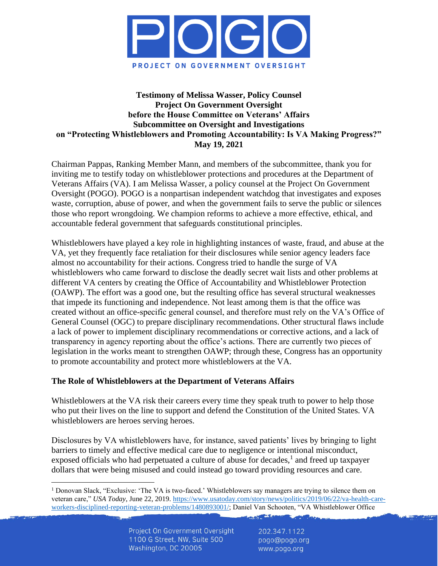

### **Testimony of Melissa Wasser, Policy Counsel Project On Government Oversight before the House Committee on Veterans' Affairs Subcommittee on Oversight and Investigations on "Protecting Whistleblowers and Promoting Accountability: Is VA Making Progress?" May 19, 2021**

Chairman Pappas, Ranking Member Mann, and members of the subcommittee, thank you for inviting me to testify today on whistleblower protections and procedures at the Department of Veterans Affairs (VA). I am Melissa Wasser, a policy counsel at the Project On Government Oversight (POGO). POGO is a nonpartisan independent watchdog that investigates and exposes waste, corruption, abuse of power, and when the government fails to serve the public or silences those who report wrongdoing. We champion reforms to achieve a more effective, ethical, and accountable federal government that safeguards constitutional principles.

Whistleblowers have played a key role in highlighting instances of waste, fraud, and abuse at the VA, yet they frequently face retaliation for their disclosures while senior agency leaders face almost no accountability for their actions. Congress tried to handle the surge of VA whistleblowers who came forward to disclose the deadly secret wait lists and other problems at different VA centers by creating the Office of Accountability and Whistleblower Protection (OAWP). The effort was a good one, but the resulting office has several structural weaknesses that impede its functioning and independence. Not least among them is that the office was created without an office-specific general counsel, and therefore must rely on the VA's Office of General Counsel (OGC) to prepare disciplinary recommendations. Other structural flaws include a lack of power to implement disciplinary recommendations or corrective actions, and a lack of transparency in agency reporting about the office's actions. There are currently two pieces of legislation in the works meant to strengthen OAWP; through these, Congress has an opportunity to promote accountability and protect more whistleblowers at the VA.

# **The Role of Whistleblowers at the Department of Veterans Affairs**

Whistleblowers at the VA risk their careers every time they speak truth to power to help those who put their lives on the line to support and defend the Constitution of the United States. VA whistleblowers are heroes serving heroes.

Disclosures by VA whistleblowers have, for instance, saved patients' lives by bringing to light barriers to timely and effective medical care due to negligence or intentional misconduct, exposed officials who had perpetuated a culture of abuse for decades, $<sup>1</sup>$  and freed up taxpayer</sup> dollars that were being misused and could instead go toward providing resources and care.

Lange Links

<sup>&</sup>lt;sup>1</sup> Donovan Slack, "Exclusive: 'The VA is two-faced.' Whistleblowers say managers are trying to silence them on veteran care," *USA Today*, June 22, 2019[. https://www.usatoday.com/story/news/politics/2019/06/22/va-health-care](https://www.usatoday.com/story/news/politics/2019/06/22/va-health-care-workers-disciplined-reporting-veteran-problems/1480893001/)[workers-disciplined-reporting-veteran-problems/1480893001/;](https://www.usatoday.com/story/news/politics/2019/06/22/va-health-care-workers-disciplined-reporting-veteran-problems/1480893001/) Daniel Van Schooten, "VA Whistleblower Office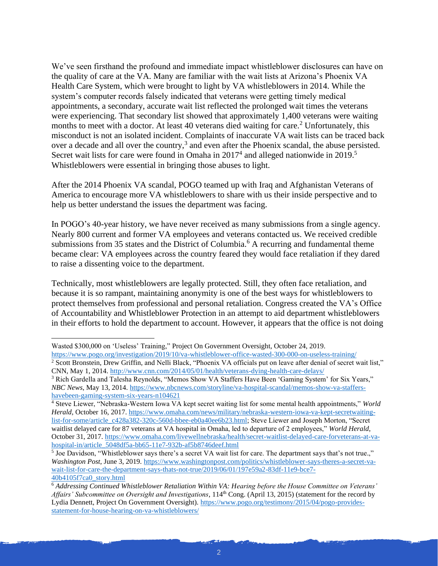We've seen firsthand the profound and immediate impact whistleblower disclosures can have on the quality of care at the VA. Many are familiar with the wait lists at Arizona's Phoenix VA Health Care System, which were brought to light by VA whistleblowers in 2014. While the system's computer records falsely indicated that veterans were getting timely medical appointments, a secondary, accurate wait list reflected the prolonged wait times the veterans were experiencing. That secondary list showed that approximately 1,400 veterans were waiting months to meet with a doctor. At least 40 veterans died waiting for care.<sup>2</sup> Unfortunately, this misconduct is not an isolated incident. Complaints of inaccurate VA wait lists can be traced back over a decade and all over the country,<sup>3</sup> and even after the Phoenix scandal, the abuse persisted. Secret wait lists for care were found in Omaha in  $2017<sup>4</sup>$  and alleged nationwide in  $2019<sup>5</sup>$ Whistleblowers were essential in bringing those abuses to light.

After the 2014 Phoenix VA scandal, POGO teamed up with Iraq and Afghanistan Veterans of America to encourage more VA whistleblowers to share with us their inside perspective and to help us better understand the issues the department was facing.

In POGO's 40-year history, we have never received as many submissions from a single agency. Nearly 800 current and former VA employees and veterans contacted us. We received credible submissions from 35 states and the District of Columbia.<sup>6</sup> A recurring and fundamental theme became clear: VA employees across the country feared they would face retaliation if they dared to raise a dissenting voice to the department.

Technically, most whistleblowers are legally protected. Still, they often face retaliation, and because it is so rampant, maintaining anonymity is one of the best ways for whistleblowers to protect themselves from professional and personal retaliation. Congress created the VA's Office of Accountability and Whistleblower Protection in an attempt to aid department whistleblowers in their efforts to hold the department to account. However, it appears that the office is not doing

<https://www.pogo.org/investigation/2019/10/va-whistleblower-office-wasted-300-000-on-useless-training/>

Wasted \$300,000 on 'Useless' Training," Project On Government Oversight, October 24, 2019.

<sup>&</sup>lt;sup>2</sup> Scott Bronstein, Drew Griffin, and Nelli Black, "Phoenix VA officials put on leave after denial of secret wait list," CNN, May 1, 2014.<http://www.cnn.com/2014/05/01/health/veterans-dying-health-care-delays/>

<sup>3</sup> Rich Gardella and Talesha Reynolds, "Memos Show VA Staffers Have Been 'Gaming System' for Six Years," *NBC News*, May 13, 2014. [https://www.nbcnews.com/storyline/va-hospital-scandal/memos-show-va-staffers](https://www.nbcnews.com/storyline/va-hospital-scandal/memos-show-va-staffers-havebeen-gaming-system-six-years-n104621)[havebeen-gaming-system-six-years-n104621](https://www.nbcnews.com/storyline/va-hospital-scandal/memos-show-va-staffers-havebeen-gaming-system-six-years-n104621)

<sup>4</sup> Steve Liewer, "Nebraska-Western Iowa VA kept secret waiting list for some mental health appointments," *World Herald*, October 16, 2017. [https://www.omaha.com/news/military/nebraska-western-iowa-va-kept-secretwaiting](https://www.omaha.com/news/military/nebraska-western-iowa-va-kept-secretwaiting-list-for-some/article_c428a382-320c-560d-bbee-eb0a40ee6b23.html)[list-for-some/article\\_c428a382-320c-560d-bbee-eb0a40ee6b23.html;](https://www.omaha.com/news/military/nebraska-western-iowa-va-kept-secretwaiting-list-for-some/article_c428a382-320c-560d-bbee-eb0a40ee6b23.html) Steve Liewer and Joseph Morton, "Secret waitlist delayed care for 87 veterans at VA hospital in Omaha, led to departure of 2 employees," *World Herald*, October 31, 2017[. https://www.omaha.com/livewellnebraska/health/secret-waitlist-delayed-care-forveterans-at-va](https://www.omaha.com/livewellnebraska/health/secret-waitlist-delayed-care-forveterans-at-va-hospital-in/article_5048df5a-bb65-11e7-932b-af5b8746deef.html)[hospital-in/article\\_5048df5a-bb65-11e7-932b-af5b8746deef.html](https://www.omaha.com/livewellnebraska/health/secret-waitlist-delayed-care-forveterans-at-va-hospital-in/article_5048df5a-bb65-11e7-932b-af5b8746deef.html)

<sup>&</sup>lt;sup>5</sup> Joe Davidson, "Whistleblower says there's a secret VA wait list for care. The department says that's not true.," *Washington Post*, June 3, 2019. [https://www.washingtonpost.com/politics/whistleblower-says-theres-a-secret-va](https://www.washingtonpost.com/politics/whistleblower-says-theres-a-secret-va-wait-list-for-care-the-department-says-thats-not-true/2019/06/01/197e59a2-83df-11e9-bce7-40b4105f7ca0_story.html)[wait-list-for-care-the-department-says-thats-not-true/2019/06/01/197e59a2-83df-11e9-bce7-](https://www.washingtonpost.com/politics/whistleblower-says-theres-a-secret-va-wait-list-for-care-the-department-says-thats-not-true/2019/06/01/197e59a2-83df-11e9-bce7-40b4105f7ca0_story.html) [40b4105f7ca0\\_story.html](https://www.washingtonpost.com/politics/whistleblower-says-theres-a-secret-va-wait-list-for-care-the-department-says-thats-not-true/2019/06/01/197e59a2-83df-11e9-bce7-40b4105f7ca0_story.html)

<sup>6</sup> *Addressing Continued Whistleblower Retaliation Within VA: Hearing before the House Committee on Veterans' Affairs' Subcommittee on Oversight and Investigations*, 114<sup>th</sup> Cong. (April 13, 2015) (statement for the record by Lydia Dennett, Project On Government Oversight). [https://www.pogo.org/testimony/2015/04/pogo-provides](https://www.pogo.org/testimony/2015/04/pogo-provides-statement-for-house-hearing-on-va-whistleblowers/)[statement-for-house-hearing-on-va-whistleblowers/](https://www.pogo.org/testimony/2015/04/pogo-provides-statement-for-house-hearing-on-va-whistleblowers/)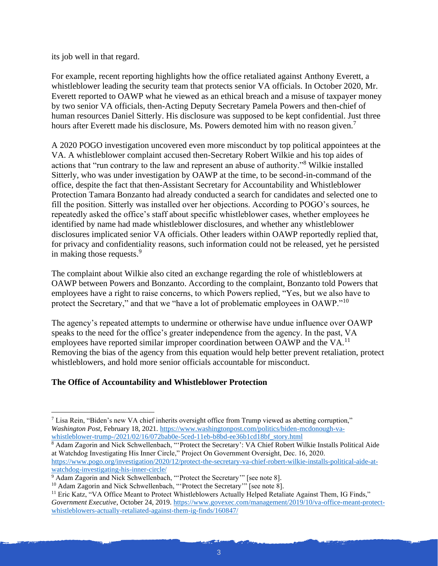its job well in that regard.

For example, recent reporting highlights how the office retaliated against Anthony Everett, a whistleblower leading the security team that protects senior VA officials. In October 2020, Mr. Everett reported to OAWP what he viewed as an ethical breach and a misuse of taxpayer money by two senior VA officials, then-Acting Deputy Secretary Pamela Powers and then-chief of human resources Daniel Sitterly. His disclosure was supposed to be kept confidential. Just three hours after Everett made his disclosure, Ms. Powers demoted him with no reason given.<sup>7</sup>

A 2020 POGO investigation uncovered even more misconduct by top political appointees at the VA. A whistleblower complaint accused then-Secretary Robert Wilkie and his top aides of actions that "run contrary to the law and represent an abuse of authority."<sup>8</sup> Wilkie installed Sitterly, who was under investigation by OAWP at the time, to be second-in-command of the office, despite the fact that then-Assistant Secretary for Accountability and Whistleblower Protection Tamara Bonzanto had already conducted a search for candidates and selected one to fill the position. Sitterly was installed over her objections. According to POGO's sources, he repeatedly asked the office's staff about specific whistleblower cases, whether employees he identified by name had made whistleblower disclosures, and whether any whistleblower disclosures implicated senior VA officials. Other leaders within OAWP reportedly replied that, for privacy and confidentiality reasons, such information could not be released, yet he persisted in making those requests.<sup>9</sup>

The complaint about Wilkie also cited an exchange regarding the role of whistleblowers at OAWP between Powers and Bonzanto. According to the complaint, Bonzanto told Powers that employees have a right to raise concerns, to which Powers replied, "Yes, but we also have to protect the Secretary," and that we "have a lot of problematic employees in OAWP."<sup>10</sup>

The agency's repeated attempts to undermine or otherwise have undue influence over OAWP speaks to the need for the office's greater independence from the agency. In the past, VA employees have reported similar improper coordination between OAWP and the VA.<sup>11</sup> Removing the bias of the agency from this equation would help better prevent retaliation, protect whistleblowers, and hold more senior officials accountable for misconduct.

# **The Office of Accountability and Whistleblower Protection**

 $<sup>7</sup>$  Lisa Rein, "Biden's new VA chief inherits oversight office from Trump viewed as abetting corruption,"</sup> *Washington Post*, February 18, 2021[. https://www.washingtonpost.com/politics/biden-mcdonough-va](https://www.washingtonpost.com/politics/biden-mcdonough-va-whistleblower-trump-/2021/02/16/072bab0e-5ced-11eb-b8bd-ee36b1cd18bf_story.html)[whistleblower-trump-/2021/02/16/072bab0e-5ced-11eb-b8bd-ee36b1cd18bf\\_story.html](https://www.washingtonpost.com/politics/biden-mcdonough-va-whistleblower-trump-/2021/02/16/072bab0e-5ced-11eb-b8bd-ee36b1cd18bf_story.html)

<sup>&</sup>lt;sup>8</sup> Adam Zagorin and Nick Schwellenbach, "'Protect the Secretary': VA Chief Robert Wilkie Installs Political Aide at Watchdog Investigating His Inner Circle," Project On Government Oversight, Dec. 16, 2020. [https://www.pogo.org/investigation/2020/12/protect-the-secretary-va-chief-robert-wilkie-installs-political-aide-at](https://www.pogo.org/investigation/2020/12/protect-the-secretary-va-chief-robert-wilkie-installs-political-aide-at-watchdog-investigating-his-inner-circle/)[watchdog-investigating-his-inner-circle/](https://www.pogo.org/investigation/2020/12/protect-the-secretary-va-chief-robert-wilkie-installs-political-aide-at-watchdog-investigating-his-inner-circle/)

<sup>&</sup>lt;sup>9</sup> Adam Zagorin and Nick Schwellenbach, "'Protect the Secretary'" [see note 8].

<sup>&</sup>lt;sup>10</sup> Adam Zagorin and Nick Schwellenbach, "'Protect the Secretary'" [see note 8].

<sup>&</sup>lt;sup>11</sup> Eric Katz, "VA Office Meant to Protect Whistleblowers Actually Helped Retaliate Against Them, IG Finds," *Government Executive*, October 24, 2019[. https://www.govexec.com/management/2019/10/va-office-meant-protect](https://www.govexec.com/management/2019/10/va-office-meant-protect-whistleblowers-actually-retaliated-against-them-ig-finds/160847/)[whistleblowers-actually-retaliated-against-them-ig-finds/160847/](https://www.govexec.com/management/2019/10/va-office-meant-protect-whistleblowers-actually-retaliated-against-them-ig-finds/160847/)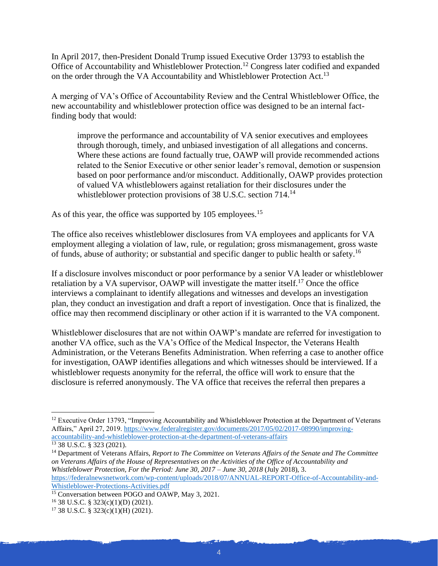In April 2017, then-President Donald Trump issued Executive Order 13793 to establish the Office of Accountability and Whistleblower Protection.<sup>12</sup> Congress later codified and expanded on the order through the VA Accountability and Whistleblower Protection Act.<sup>13</sup>

A merging of VA's Office of Accountability Review and the Central Whistleblower Office, the new accountability and whistleblower protection office was designed to be an internal factfinding body that would:

improve the performance and accountability of VA senior executives and employees through thorough, timely, and unbiased investigation of all allegations and concerns. Where these actions are found factually true, OAWP will provide recommended actions related to the Senior Executive or other senior leader's removal, demotion or suspension based on poor performance and/or misconduct. Additionally, OAWP provides protection of valued VA whistleblowers against retaliation for their disclosures under the whistleblower protection provisions of 38 U.S.C. section 714.<sup>14</sup>

As of this year, the office was supported by 105 employees.<sup>15</sup>

The office also receives whistleblower disclosures from VA employees and applicants for VA employment alleging a violation of law, rule, or regulation; gross mismanagement, gross waste of funds, abuse of authority; or substantial and specific danger to public health or safety.<sup>16</sup>

If a disclosure involves misconduct or poor performance by a senior VA leader or whistleblower retaliation by a VA supervisor, OAWP will investigate the matter itself.<sup>17</sup> Once the office interviews a complainant to identify allegations and witnesses and develops an investigation plan, they conduct an investigation and draft a report of investigation. Once that is finalized, the office may then recommend disciplinary or other action if it is warranted to the VA component.

Whistleblower disclosures that are not within OAWP's mandate are referred for investigation to another VA office, such as the VA's Office of the Medical Inspector, the Veterans Health Administration, or the Veterans Benefits Administration. When referring a case to another office for investigation, OAWP identifies allegations and which witnesses should be interviewed. If a whistleblower requests anonymity for the referral, the office will work to ensure that the disclosure is referred anonymously. The VA office that receives the referral then prepares a

<sup>&</sup>lt;sup>12</sup> Executive Order 13793, "Improving Accountability and Whistleblower Protection at the Department of Veterans Affairs," April 27, 2019. [https://www.federalregister.gov/documents/2017/05/02/2017-08990/improving](https://www.federalregister.gov/documents/2017/05/02/2017-08990/improving-accountability-and-whistleblower-protection-at-the-department-of-veterans-affairs)[accountability-and-whistleblower-protection-at-the-department-of-veterans-affairs](https://www.federalregister.gov/documents/2017/05/02/2017-08990/improving-accountability-and-whistleblower-protection-at-the-department-of-veterans-affairs)

<sup>13</sup> 38 U.S.C. § 323 (2021).

<sup>14</sup> Department of Veterans Affairs, *Report to The Committee on Veterans Affairs of the Senate and The Committee on Veterans Affairs of the House of Representatives on the Activities of the Office of Accountability and Whistleblower Protection, For the Period: June 30, 2017 – June 30, 2018* (July 2018), 3. [https://federalnewsnetwork.com/wp-content/uploads/2018/07/ANNUAL-REPORT-Office-of-Accountability-and-](https://federalnewsnetwork.com/wp-content/uploads/2018/07/ANNUAL-REPORT-Office-of-Accountability-and-Whistleblower-Protections-Activities.pdf)[Whistleblower-Protections-Activities.pdf](https://federalnewsnetwork.com/wp-content/uploads/2018/07/ANNUAL-REPORT-Office-of-Accountability-and-Whistleblower-Protections-Activities.pdf)

 $\frac{15}{15}$  Conversation between POGO and OAWP, May 3, 2021.

<sup>16</sup> 38 U.S.C. § 323(c)(1)(D) (2021).

 $17$  38 U.S.C. § 323(c)(1)(H) (2021).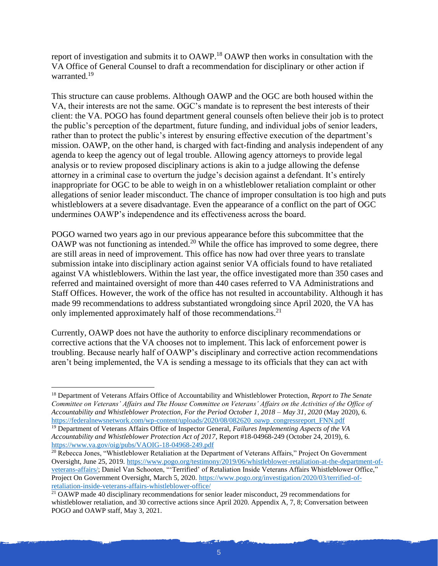report of investigation and submits it to OAWP.<sup>18</sup> OAWP then works in consultation with the VA Office of General Counsel to draft a recommendation for disciplinary or other action if warranted.<sup>19</sup>

This structure can cause problems. Although OAWP and the OGC are both housed within the VA, their interests are not the same. OGC's mandate is to represent the best interests of their client: the VA. POGO has found department general counsels often believe their job is to protect the public's perception of the department, future funding, and individual jobs of senior leaders, rather than to protect the public's interest by ensuring effective execution of the department's mission. OAWP, on the other hand, is charged with fact-finding and analysis independent of any agenda to keep the agency out of legal trouble. Allowing agency attorneys to provide legal analysis or to review proposed disciplinary actions is akin to a judge allowing the defense attorney in a criminal case to overturn the judge's decision against a defendant. It's entirely inappropriate for OGC to be able to weigh in on a whistleblower retaliation complaint or other allegations of senior leader misconduct. The chance of improper consultation is too high and puts whistleblowers at a severe disadvantage. Even the appearance of a conflict on the part of OGC undermines OAWP's independence and its effectiveness across the board.

POGO warned two years ago in our previous appearance before this subcommittee that the OAWP was not functioning as intended.<sup>20</sup> While the office has improved to some degree, there are still areas in need of improvement. This office has now had over three years to translate submission intake into disciplinary action against senior VA officials found to have retaliated against VA whistleblowers. Within the last year, the office investigated more than 350 cases and referred and maintained oversight of more than 440 cases referred to VA Administrations and Staff Offices. However, the work of the office has not resulted in accountability. Although it has made 99 recommendations to address substantiated wrongdoing since April 2020, the VA has only implemented approximately half of those recommendations.<sup>21</sup>

Currently, OAWP does not have the authority to enforce disciplinary recommendations or corrective actions that the VA chooses not to implement. This lack of enforcement power is troubling. Because nearly half of OAWP's disciplinary and corrective action recommendations aren't being implemented, the VA is sending a message to its officials that they can act with

<sup>18</sup> Department of Veterans Affairs Office of Accountability and Whistleblower Protection, *Report to The Senate Committee on Veterans' Affairs and The House Committee on Veterans' Affairs on the Activities of the Office of Accountability and Whistleblower Protection, For the Period October 1, 2018 – May 31, 2020* (May 2020), 6. [https://federalnewsnetwork.com/wp-content/uploads/2020/08/082620\\_oawp\\_congressreport\\_FNN.pdf](https://federalnewsnetwork.com/wp-content/uploads/2020/08/082620_oawp_congressreport_FNN.pdf)

<sup>19</sup> Department of Veterans Affairs Office of Inspector General, *Failures Implementing Aspects of the VA Accountability and Whistleblower Protection Act of 2017*, Report #18-04968-249 (October 24, 2019), 6. <https://www.va.gov/oig/pubs/VAOIG-18-04968-249.pdf>

<sup>&</sup>lt;sup>20</sup> Rebecca Jones, "Whistleblower Retaliation at the Department of Veterans Affairs," Project On Government Oversight, June 25, 2019. [https://www.pogo.org/testimony/2019/06/whistleblower-retaliation-at-the-department-of](https://www.pogo.org/testimony/2019/06/whistleblower-retaliation-at-the-department-of-veterans-affairs/)[veterans-affairs/;](https://www.pogo.org/testimony/2019/06/whistleblower-retaliation-at-the-department-of-veterans-affairs/) Daniel Van Schooten, "'Terrified' of Retaliation Inside Veterans Affairs Whistleblower Office," Project On Government Oversight, March 5, 2020. [https://www.pogo.org/investigation/2020/03/terrified-of](https://www.pogo.org/investigation/2020/03/terrified-of-retaliation-inside-veterans-affairs-whistleblower-office/)[retaliation-inside-veterans-affairs-whistleblower-office/](https://www.pogo.org/investigation/2020/03/terrified-of-retaliation-inside-veterans-affairs-whistleblower-office/)

<sup>&</sup>lt;sup>21</sup> OAWP made 40 disciplinary recommendations for senior leader misconduct, 29 recommendations for whistleblower retaliation, and 30 corrective actions since April 2020. Appendix A, 7, 8; Conversation between POGO and OAWP staff, May 3, 2021.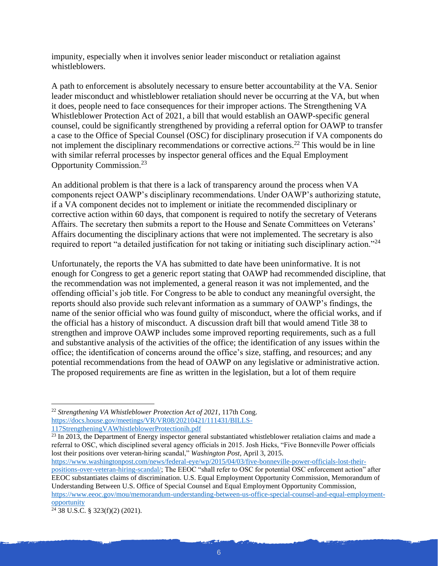impunity, especially when it involves senior leader misconduct or retaliation against whistleblowers.

A path to enforcement is absolutely necessary to ensure better accountability at the VA. Senior leader misconduct and whistleblower retaliation should never be occurring at the VA, but when it does, people need to face consequences for their improper actions. The Strengthening VA Whistleblower Protection Act of 2021, a bill that would establish an OAWP-specific general counsel, could be significantly strengthened by providing a referral option for OAWP to transfer a case to the Office of Special Counsel (OSC) for disciplinary prosecution if VA components do not implement the disciplinary recommendations or corrective actions.<sup>22</sup> This would be in line with similar referral processes by inspector general offices and the Equal Employment Opportunity Commission. 23

An additional problem is that there is a lack of transparency around the process when VA components reject OAWP's disciplinary recommendations. Under OAWP's authorizing statute, if a VA component decides not to implement or initiate the recommended disciplinary or corrective action within 60 days, that component is required to notify the secretary of Veterans Affairs. The secretary then submits a report to the House and Senate Committees on Veterans' Affairs documenting the disciplinary actions that were not implemented. The secretary is also required to report "a detailed justification for not taking or initiating such disciplinary action."<sup>24</sup>

Unfortunately, the reports the VA has submitted to date have been uninformative. It is not enough for Congress to get a generic report stating that OAWP had recommended discipline, that the recommendation was not implemented, a general reason it was not implemented, and the offending official's job title. For Congress to be able to conduct any meaningful oversight, the reports should also provide such relevant information as a summary of OAWP's findings, the name of the senior official who was found guilty of misconduct, where the official works, and if the official has a history of misconduct. A discussion draft bill that would amend Title 38 to strengthen and improve OAWP includes some improved reporting requirements, such as a full and substantive analysis of the activities of the office; the identification of any issues within the office; the identification of concerns around the office's size, staffing, and resources; and any potential recommendations from the head of OAWP on any legislative or administrative action. The proposed requirements are fine as written in the legislation, but a lot of them require

 $^{23}$  In 2013, the Department of Energy inspector general substantiated whistleblower retaliation claims and made a referral to OSC, which disciplined several agency officials in 2015. Josh Hicks, "Five Bonneville Power officials lost their positions over veteran-hiring scandal," *Washington Post*, April 3, 2015.

[https://www.washingtonpost.com/news/federal-eye/wp/2015/04/03/five-bonneville-power-officials-lost-their](https://www.washingtonpost.com/news/federal-eye/wp/2015/04/03/five-bonneville-power-officials-lost-their-positions-over-veteran-hiring-scandal/)[positions-over-veteran-hiring-scandal/;](https://www.washingtonpost.com/news/federal-eye/wp/2015/04/03/five-bonneville-power-officials-lost-their-positions-over-veteran-hiring-scandal/) The EEOC "shall refer to OSC for potential OSC enforcement action" after EEOC substantiates claims of discrimination. U.S. Equal Employment Opportunity Commission, Memorandum of Understanding Between U.S. Office of Special Counsel and Equal Employment Opportunity Commission, [https://www.eeoc.gov/mou/memorandum-understanding-between-us-office-special-counsel-and-equal-employment](https://www.eeoc.gov/mou/memorandum-understanding-between-us-office-special-counsel-and-equal-employment-opportunity)[opportunity](https://www.eeoc.gov/mou/memorandum-understanding-between-us-office-special-counsel-and-equal-employment-opportunity)

<sup>22</sup> *Strengthening VA Whistleblower Protection Act of 2021*, 117th Cong. [https://docs.house.gov/meetings/VR/VR08/20210421/111431/BILLS-](https://docs.house.gov/meetings/VR/VR08/20210421/111431/BILLS-117StrengtheningVAWhistleblowerProtectionih.pdf)[117StrengtheningVAWhistleblowerProtectionih.pdf](https://docs.house.gov/meetings/VR/VR08/20210421/111431/BILLS-117StrengtheningVAWhistleblowerProtectionih.pdf)

 $24\overline{38}$  U.S.C. § 323(f)(2) (2021).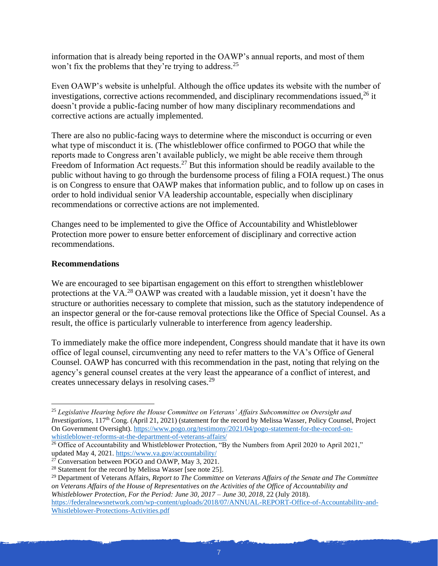information that is already being reported in the OAWP's annual reports, and most of them won't fix the problems that they're trying to address.<sup>25</sup>

Even OAWP's website is unhelpful. Although the office updates its website with the number of investigations, corrective actions recommended, and disciplinary recommendations issued,  $^{26}$  it doesn't provide a public-facing number of how many disciplinary recommendations and corrective actions are actually implemented.

There are also no public-facing ways to determine where the misconduct is occurring or even what type of misconduct it is. (The whistleblower office confirmed to POGO that while the reports made to Congress aren't available publicly, we might be able receive them through Freedom of Information Act requests.<sup>27</sup> But this information should be readily available to the public without having to go through the burdensome process of filing a FOIA request.) The onus is on Congress to ensure that OAWP makes that information public, and to follow up on cases in order to hold individual senior VA leadership accountable, especially when disciplinary recommendations or corrective actions are not implemented.

Changes need to be implemented to give the Office of Accountability and Whistleblower Protection more power to ensure better enforcement of disciplinary and corrective action recommendations.

#### **Recommendations**

We are encouraged to see bipartisan engagement on this effort to strengthen whistleblower protections at the VA.<sup>28</sup> OAWP was created with a laudable mission, yet it doesn't have the structure or authorities necessary to complete that mission, such as the statutory independence of an inspector general or the for-cause removal protections like the Office of Special Counsel. As a result, the office is particularly vulnerable to interference from agency leadership.

To immediately make the office more independent, Congress should mandate that it have its own office of legal counsel, circumventing any need to refer matters to the VA's Office of General Counsel. OAWP has concurred with this recommendation in the past, noting that relying on the agency's general counsel creates at the very least the appearance of a conflict of interest, and creates unnecessary delays in resolving cases.<sup>29</sup>

<sup>25</sup> *Legislative Hearing before the House Committee on Veterans' Affairs Subcommittee on Oversight and Investigations*, 117<sup>th</sup> Cong. (April 21, 2021) (statement for the record by Melissa Wasser, Policy Counsel, Project On Government Oversight). [https://www.pogo.org/testimony/2021/04/pogo-statement-for-the-record-on](https://www.pogo.org/testimony/2021/04/pogo-statement-for-the-record-on-whistleblower-reforms-at-the-department-of-veterans-affairs/)[whistleblower-reforms-at-the-department-of-veterans-affairs/](https://www.pogo.org/testimony/2021/04/pogo-statement-for-the-record-on-whistleblower-reforms-at-the-department-of-veterans-affairs/)

 $\frac{26}{6}$  Office of Accountability and Whistleblower Protection, "By the Numbers from April 2020 to April 2021," updated May 4, 2021.<https://www.va.gov/accountability/>

 $2^7$  Conversation between POGO and OAWP, May 3, 2021.

<sup>&</sup>lt;sup>28</sup> Statement for the record by Melissa Wasser [see note 25].

<sup>29</sup> Department of Veterans Affairs, *Report to The Committee on Veterans Affairs of the Senate and The Committee on Veterans Affairs of the House of Representatives on the Activities of the Office of Accountability and Whistleblower Protection, For the Period: June 30, 2017 – June 30, 2018*, 22 (July 2018). [https://federalnewsnetwork.com/wp-content/uploads/2018/07/ANNUAL-REPORT-Office-of-Accountability-and-](https://federalnewsnetwork.com/wp-content/uploads/2018/07/ANNUAL-REPORT-Office-of-Accountability-and-Whistleblower-Protections-Activities.pdf)[Whistleblower-Protections-Activities.pdf](https://federalnewsnetwork.com/wp-content/uploads/2018/07/ANNUAL-REPORT-Office-of-Accountability-and-Whistleblower-Protections-Activities.pdf)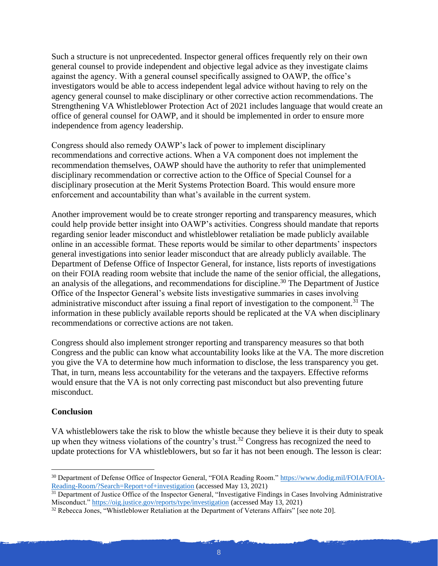Such a structure is not unprecedented. Inspector general offices frequently rely on their own general counsel to provide independent and objective legal advice as they investigate claims against the agency. With a general counsel specifically assigned to OAWP, the office's investigators would be able to access independent legal advice without having to rely on the agency general counsel to make disciplinary or other corrective action recommendations. The Strengthening VA Whistleblower Protection Act of 2021 includes language that would create an office of general counsel for OAWP, and it should be implemented in order to ensure more independence from agency leadership.

Congress should also remedy OAWP's lack of power to implement disciplinary recommendations and corrective actions. When a VA component does not implement the recommendation themselves, OAWP should have the authority to refer that unimplemented disciplinary recommendation or corrective action to the Office of Special Counsel for a disciplinary prosecution at the Merit Systems Protection Board. This would ensure more enforcement and accountability than what's available in the current system.

Another improvement would be to create stronger reporting and transparency measures, which could help provide better insight into OAWP's activities. Congress should mandate that reports regarding senior leader misconduct and whistleblower retaliation be made publicly available online in an accessible format. These reports would be similar to other departments' inspectors general investigations into senior leader misconduct that are already publicly available. The Department of Defense Office of Inspector General, for instance, lists reports of investigations on their FOIA reading room website that include the name of the senior official, the allegations, an analysis of the allegations, and recommendations for discipline.<sup>30</sup> The Department of Justice Office of the Inspector General's website lists investigative summaries in cases involving administrative misconduct after issuing a final report of investigation to the component.<sup>31</sup> The information in these publicly available reports should be replicated at the VA when disciplinary recommendations or corrective actions are not taken.

Congress should also implement stronger reporting and transparency measures so that both Congress and the public can know what accountability looks like at the VA. The more discretion you give the VA to determine how much information to disclose, the less transparency you get. That, in turn, means less accountability for the veterans and the taxpayers. Effective reforms would ensure that the VA is not only correcting past misconduct but also preventing future misconduct.

#### **Conclusion**

VA whistleblowers take the risk to blow the whistle because they believe it is their duty to speak up when they witness violations of the country's trust.<sup>32</sup> Congress has recognized the need to update protections for VA whistleblowers, but so far it has not been enough. The lesson is clear:

<sup>30</sup> Department of Defense Office of Inspector General, "FOIA Reading Room." [https://www.dodig.mil/FOIA/FOIA-](https://www.dodig.mil/FOIA/FOIA-Reading-Room/?Search=Report+of+investigation)[Reading-Room/?Search=Report+of+investigation](https://www.dodig.mil/FOIA/FOIA-Reading-Room/?Search=Report+of+investigation) (accessed May 13, 2021)

<sup>&</sup>lt;sup>31</sup> Department of Justice Office of the Inspector General, "Investigative Findings in Cases Involving Administrative Misconduct.[" https://oig.justice.gov/reports/type/investigation](https://oig.justice.gov/reports/type/investigation) (accessed May 13, 2021)

<sup>&</sup>lt;sup>32</sup> Rebecca Jones, "Whistleblower Retaliation at the Department of Veterans Affairs" [see note 20].